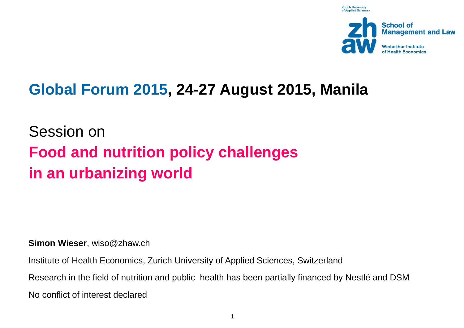**Zurich University** of Annlied Scien



## **Global Forum 2015, 24-27 August 2015, Manila**

Session on **Food and nutrition policy challenges in an urbanizing world**

**Simon Wieser**, wiso@zhaw.ch

Institute of Health Economics, Zurich University of Applied Sciences, Switzerland

Research in the field of nutrition and public health has been partially financed by Nestlé and DSM

No conflict of interest declared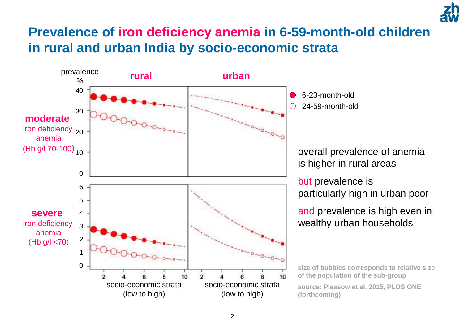### **Prevalence of iron deficiency anemia in 6-59-month-old children in rural and urban India by socio-economic strata**

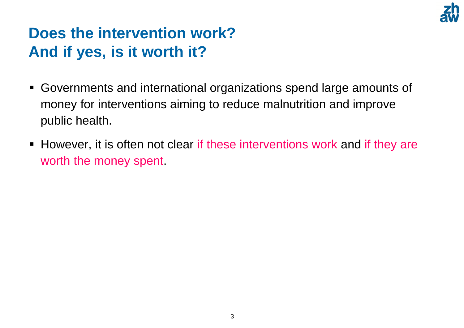

## **Does the intervention work? And if yes, is it worth it?**

- Governments and international organizations spend large amounts of money for interventions aiming to reduce malnutrition and improve public health.
- **However, it is often not clear if these interventions work and if they are** worth the money spent.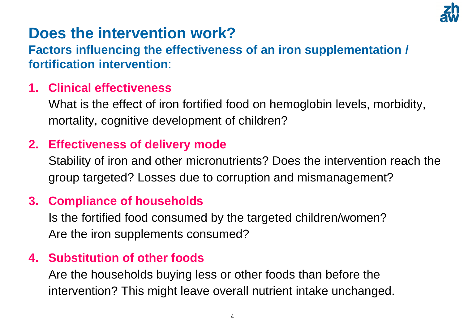

# **Does the intervention work?**

**Factors influencing the effectiveness of an iron supplementation / fortification intervention**:

#### **1. Clinical effectiveness**

What is the effect of iron fortified food on hemoglobin levels, morbidity, mortality, cognitive development of children?

#### **2. Effectiveness of delivery mode**

Stability of iron and other micronutrients? Does the intervention reach the group targeted? Losses due to corruption and mismanagement?

#### **3. Compliance of households**

Is the fortified food consumed by the targeted children/women? Are the iron supplements consumed?

#### **4. Substitution of other foods**

Are the households buying less or other foods than before the intervention? This might leave overall nutrient intake unchanged.